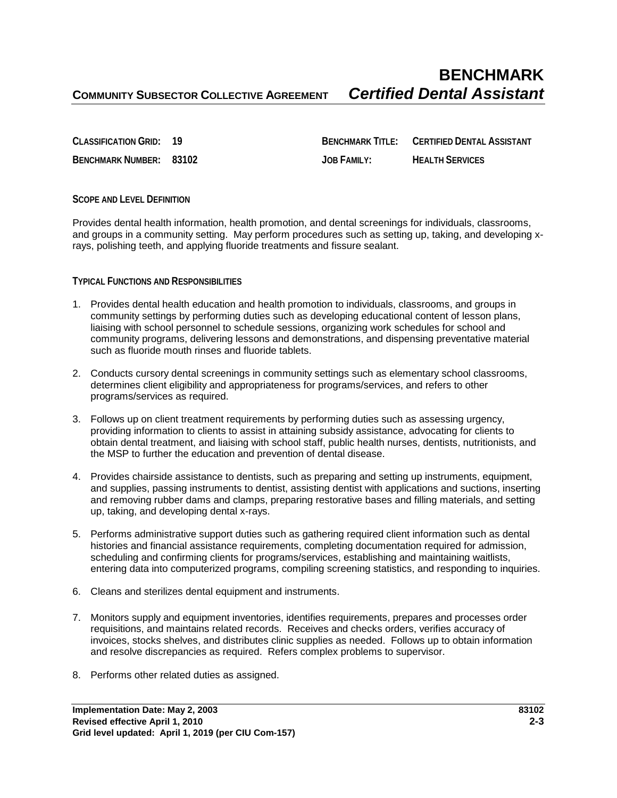**BENCHMARK**<br>Certified Dental Assistant

**CLASSIFICATION GRID: 19 BENCHMARK TITLE: CERTIFIED DENTAL ASSISTANT BENCHMARK NUMBER: 83102 JOB FAMILY: HEALTH SERVICES**

## **SCOPE AND LEVEL DEFINITION**

Provides dental health information, health promotion, and dental screenings for individuals, classrooms, and groups in a community setting. May perform procedures such as setting up, taking, and developing xrays, polishing teeth, and applying fluoride treatments and fissure sealant.

## **TYPICAL FUNCTIONS AND RESPONSIBILITIES**

- 1. Provides dental health education and health promotion to individuals, classrooms, and groups in community settings by performing duties such as developing educational content of lesson plans, liaising with school personnel to schedule sessions, organizing work schedules for school and community programs, delivering lessons and demonstrations, and dispensing preventative material such as fluoride mouth rinses and fluoride tablets.
- 2. Conducts cursory dental screenings in community settings such as elementary school classrooms, determines client eligibility and appropriateness for programs/services, and refers to other programs/services as required.
- 3. Follows up on client treatment requirements by performing duties such as assessing urgency, providing information to clients to assist in attaining subsidy assistance, advocating for clients to obtain dental treatment, and liaising with school staff, public health nurses, dentists, nutritionists, and the MSP to further the education and prevention of dental disease.
- 4. Provides chairside assistance to dentists, such as preparing and setting up instruments, equipment, and supplies, passing instruments to dentist, assisting dentist with applications and suctions, inserting and removing rubber dams and clamps, preparing restorative bases and filling materials, and setting up, taking, and developing dental x-rays.
- 5. Performs administrative support duties such as gathering required client information such as dental histories and financial assistance requirements, completing documentation required for admission, scheduling and confirming clients for programs/services, establishing and maintaining waitlists, entering data into computerized programs, compiling screening statistics, and responding to inquiries.
- 6. Cleans and sterilizes dental equipment and instruments.
- 7. Monitors supply and equipment inventories, identifies requirements, prepares and processes order requisitions, and maintains related records. Receives and checks orders, verifies accuracy of invoices, stocks shelves, and distributes clinic supplies as needed. Follows up to obtain information and resolve discrepancies as required. Refers complex problems to supervisor.
- 8. Performs other related duties as assigned.